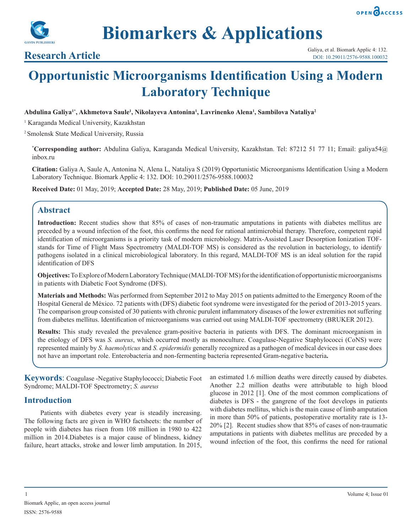



**Biomarkers & Applications**

# **Opportunistic Microorganisms Identification Using a Modern Laboratory Technique**

### **Abdulina Galiya1\*, Akhmetova Saule1 , Nikolayeva Antonina1 , Lavrinenko Аlena<sup>1</sup> , Sambilova Nataliya2**

<sup>1</sup> Karaganda Medical University, Kazakhstan

2 Smolensk State Medical University, Russia

**\* Corresponding author:** Abdulina Galiya, Karaganda Medical University, Kazakhstan. Tel: 87212 51 77 11; Email: galiya54@ inbox.ru

**Citation:** Galiya A, Saule A, Antonina N, Аlena L, Nataliya S (2019) Opportunistic Microorganisms Identification Using a Modern Laboratory Technique. Biomark Applic 4: 132. DOI: 10.29011/2576-9588.100032

**Received Date:** 01 May, 2019; **Accepted Date:** 28 May, 2019; **Published Date:** 05 June, 2019

# **Abstract**

**Introduction:** Recent studies show that 85% of cases of non-traumatic amputations in patients with diabetes mellitus are preceded by a wound infection of the foot, this confirms the need for rational antimicrobial therapy. Therefore, competent rapid identification of microorganisms is a priority task of modern microbiology. Matrix-Assisted Laser Desorption Ionization TOFstands for Time of Flight Mass Spectrometry (MALDI-TOF MS) is considered as the revolution in bacteriology, to identify pathogens isolated in a clinical microbiological laboratory. In this regard, MALDI-TOF MS is an ideal solution for the rapid identification of DFS

**Objectives:** To Explore of Modern Laboratory Technique (MALDI-TOF MS) for the identification of opportunistic microorganisms in patients with Diabetic Foot Syndrome (DFS).

**Materials and Methods:** Was performed from September 2012 to May 2015 on patients admitted to the Emergency Room of the Hospital General de México. 72 patients with (DFS) diabetic foot syndrome were investigated for the period of 2013-2015 years. The comparison group consisted of 30 patients with chronic purulent inflammatory diseases of the lower extremities not suffering from diabetes mellitus. Identification of microorganisms was carried out using MALDI-TOF spectrometry (BRUKER 2012).

**Results:** This study revealed the prevalence gram-positive bacteria in patients with DFS. The dominant microorganism in the etiology of DFS was *S. aureus*, which occurred mostly as monoculture. Coagulase-Negative Staphylococci (CoNS) were represented mainly by *S. haemolyticus* and *S. epidermidis* generally recognized as a pathogen of medical devices in our case does not have an important role. Enterobacteria and non-fermenting bacteria represented Gram-negative bacteria**.**

**Keywords**: Coagulase -Negative Staphylococci; Diabetic Foot Syndrome; MALDI-TOF Spectrometry; *S. aureus*

# **Introduction**

Patients with diabetes every year is steadily increasing. The following facts are given in WHO factsheets: the number of people with diabetes has risen from 108 million in 1980 to 422 million in 2014.Diabetes is a major cause of blindness, kidney failure, heart attacks, stroke and lower limb amputation. In 2015,

an estimated 1.6 million deaths were directly caused by diabetes. Another 2.2 million deaths were attributable to high blood glucose in 2012 [1]. One of the most common complications of diabetes is DFS - the gangrene of the foot develops in patients with diabetes mellitus, which is the main cause of limb amputation in more than 50% of patients, postoperative mortality rate is 13- 20% [2]. Recent studies show that 85% of cases of non-traumatic amputations in patients with diabetes mellitus are preceded by a wound infection of the foot, this confirms the need for rational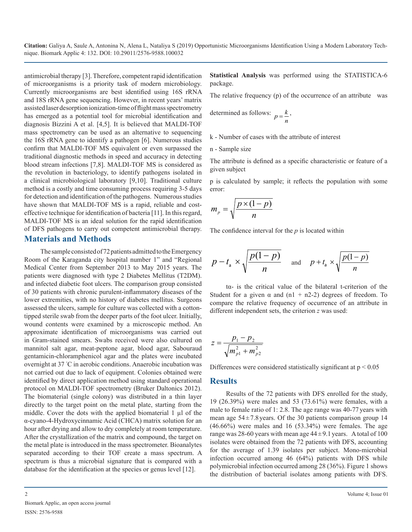antimicrobial therapy [3]. Therefore, competent rapid identification of microorganisms is a priority task of modern microbiology. Currently microorganisms are best identified using 16S rRNA and 18S rRNA gene sequencing. However, in recent years' matrix assisted laser desorption ionization-time of flight mass spectrometry has emerged as a potential tool for microbial identification and diagnosis Bizzini A et al. [4,5]. It is believed that MALDI-TOF mass spectrometry can be used as an alternative to sequencing the 16S rRNA gene to identify a pathogen [6]. Numerous studies confirm that MALDI-TOF MS equivalent or even surpassed the traditional diagnostic methods in speed and accuracy in detecting blood stream infections [7,8]. MALDI-TOF MS is considered as the revolution in bacteriology, to identify pathogens isolated in a clinical microbiological laboratory [9,10]. Traditional culture method is a costly and time consuming process requiring 3-5 days for detection and identification of the pathogens. Numerous studies have shown that MALDI-TOF MS is a rapid, reliable and costeffective technique for identification of bacteria [11]. In this regard, MALDI-TOF MS is an ideal solution for the rapid identification of DFS pathogens to carry out competent antimicrobial therapy.

### **Materials and Methods**

The sample consisted of 72 patients admitted to the Emergency Room of the Karaganda city hospital number 1" and "Regional Medical Center from September 2013 to May 2015 years. The patients were diagnosed with type 2 Diabetes Mellitus (T2DM). and infected diabetic foot ulcers. The comparison group consisted of 30 patients with chronic purulent-inflammatory diseases of the lower extremities, with no history of diabetes mellitus. Surgeons assessed the ulcers, sample for culture was collected with a cottontipped sterile swab from the deeper parts of the foot ulcer. Initially, wound contents were examined by a microscopic method. An approximate identification of microorganisms was carried out in Gram-stained smears. Swabs received were also cultured on mannitol salt agar, meat-peptone agar, blood agar, Sabouraud gentamicin-chloramphenicol agar and the plates were incubated overnight at 37 ° C in aerobic conditions. Anaerobic incubation was not carried out due to lack of equipment. Colonies obtained were identified by direct application method using standard operational protocol on MALDI-TOF spectrometry (Bruker Daltonics 2012). The biomaterial (single colony) was distributed in a thin layer directly to the target point on the metal plate, starting from the middle. Cover the dots with the applied biomaterial  $1 \mu l$  of the α-cyano-4-Hydroxycinnamic Acid (CHCA) matrix solution for an hour after drying and allow to dry completely at room temperature. After the crystallization of the matrix and compound, the target on the metal plate is introduced in the mass spectrometer. Bioanalytes separated according to their TOF create a mass spectrum. A spectrum is thus a microbial signature that is compared with a database for the identification at the species or genus level [12].

**Statistical Analysis** was performed using the STATISTICA-6 package.

The relative frequency (p) of the occurrence of an attribute was

determined as follows: *n*  $p = \frac{k}{k}$ 

k - Number of cases with the attribute of interest

n - Sample size

The attribute is defined as a specific characteristic or feature of a given subject

p is calculated by sample; it reflects the population with some error:

$$
m_p = \sqrt{\frac{p \times (1 - p)}{n}}
$$

The confidence interval for the *p* is located within

$$
p-t_a \times \sqrt{\frac{p(1-p)}{n}}
$$
 and  $p+t_a \times \sqrt{\frac{p(1-p)}{n}}$ 

tα- is the critical value of the bilateral t-criterion of the Student for a given  $\alpha$  and (n1 + n2-2) degrees of freedom. To compare the relative frequency of occurrence of an attribute in different independent sets, the criterion *z* was used:

$$
z = \frac{p_1 - p_2}{\sqrt{m_{p1}^2 + m_{p2}^2}}
$$

Differences were considered statistically significant at  $p < 0.05$ 

#### **Results**

Results of the 72 patients with DFS enrolled for the study, 19 (26.39%) were males and 53 (73.61%) were females, with a male to female ratio of 1: 2.8. The age range was 40-77 years with mean age  $54 \pm 7.8$  years. Of the 30 patients comparison group 14  $(46.66%)$  were males and 16  $(53.34%)$  were females. The age range was 28-60 years with mean age  $44 \pm 9.1$  years. A total of 100 isolates were obtained from the 72 patients with DFS, accounting for the average of 1.39 isolates per subject. Mono-microbial infection occurred among 46 (64%) patients with DFS while polymicrobial infection occurred among 28 (36%). Figure 1 shows the distribution of bacterial isolates among patients with DFS.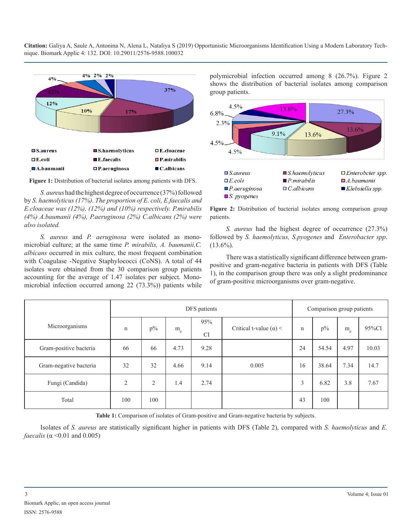

**Figure 1:** Distribution of bacterial isolates among patients with DFS.

*S. aureus*had the highest degree of occurrence (37%) followed by *S. haemolyticus (17%). The proportion of E. coli, E.faecalis and E.cloaceae was (12%), (12%) and (10%) respectively. P.mirabilis (4%) A.baumanii (4%), P.aeruginosa (2%) C.albicans (2%) were also isolated.*

*S. aureus* and *P. aeruginosa* were isolated as monomicrobial culture; at the same time *P. mirabilis, A. baumanii,C. albicans* occurred in mix culture, the most frequent combination with Coagulase -Negative Staphylococci (CoNS). A total of 44 isolates were obtained from the 30 comparison group patients accounting for the average of 1.47 isolates per subject. Monomicrobial infection occurred among 22 (73.3%)) patients while

polymicrobial infection occurred among 8 (26.7%). Figure 2 shows the distribution of bacterial isolates among comparison group patients.



**Figure 2:** Distribution of bacterial isolates among comparison group patients.

*S. aureus* had the highest degree of occurrence (27.3%) followed by *S. haemolyticus, S.pyogenes* and *Enterobacter spp*.  $(13.6\%)$ .

There was a statistically significant difference between grampositive and gram-negative bacteria in patients with DFS (Table 1), in the comparison group there was only a slight predominance of gram-positive microorganisms over gram-negative.

|                        |                | DFS patients   |                 |                  |                               | Comparison group patients |       |             |       |
|------------------------|----------------|----------------|-----------------|------------------|-------------------------------|---------------------------|-------|-------------|-------|
| Microorganisms         | n              | $p\%$          | $\rm m_{\rm p}$ | 95%<br><b>CI</b> | Critical t-value $(\alpha)$ < | $\mathbf n$               | $p\%$ | $m_{\rm p}$ | 95%CI |
| Gram-positive bacteria | 66             | 66             | 4.73            | 9.28             |                               | 24                        | 54.54 | 4.97        | 10.03 |
| Gram-negative bacteria | 32             | 32             | 4.66            | 9.14             | 0.005                         | 16                        | 38.64 | 7.34        | 14.7  |
| Fungi (Candida)        | $\overline{2}$ | $\overline{2}$ | 1.4             | 2.74             |                               | 3                         | 6.82  | 3.8         | 7.67  |
| Total                  | 100            | 100            |                 |                  |                               | 43                        | 100   |             |       |

**Table 1:** Comparison of isolates of Gram-positive and Gram-negative bacteria by subjects.

Isolates of *S. aureus* are statistically significant higher in patients with DFS (Table 2), compared with *S. haemolyticus* and *E. faecalis* (α < 0.01 and 0.005)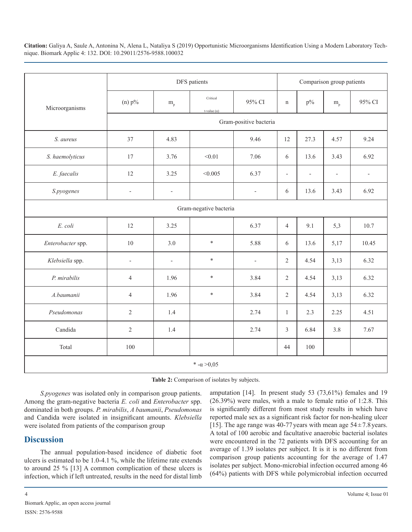|                    | DFS patients             |                              |                                |                          | Comparison group patients |                          |                          |                          |  |  |
|--------------------|--------------------------|------------------------------|--------------------------------|--------------------------|---------------------------|--------------------------|--------------------------|--------------------------|--|--|
| Microorganisms     | $(n)$ $p\%$              | $m_{\rm p}$                  | Critical<br>t-value $(\alpha)$ | 95% CI                   | $\mathbf n$               | $p\%$                    | $m_{\rm p}$              | 95% CI                   |  |  |
|                    |                          |                              |                                | Gram-positive bacteria   |                           |                          |                          |                          |  |  |
| S. aureus          | 37                       | 4.83                         |                                | 9.46                     | 12                        | 27.3                     | 4.57                     | 9.24                     |  |  |
| S. haemolyticus    | 17                       | 3.76                         | < 0.01                         | 7.06                     | 6                         | 13.6                     | 3.43                     | 6.92                     |  |  |
| E. faecalis        | 12                       | 3.25                         | < 0.005                        | 6.37                     | $\overline{\phantom{a}}$  | $\overline{\phantom{a}}$ | $\overline{\phantom{a}}$ | $\overline{\phantom{a}}$ |  |  |
| S.pyogenes         | $\overline{\phantom{0}}$ | $\qquad \qquad \blacksquare$ |                                | $\overline{\phantom{0}}$ | 6                         | 13.6                     | 3.43                     | 6.92                     |  |  |
|                    | Gram-negative bacteria   |                              |                                |                          |                           |                          |                          |                          |  |  |
| E. coli            | 12                       | 3.25                         |                                | 6.37                     | $\overline{4}$            | 9.1                      | 5,3                      | 10.7                     |  |  |
| Enterobacter spp.  | 10                       | 3.0                          | $\ast$                         | 5.88                     | 6                         | 13.6                     | 5,17                     | 10.45                    |  |  |
| Klebsiella spp.    | $\overline{\phantom{m}}$ | $\qquad \qquad \blacksquare$ | $\ast$                         | $\overline{\phantom{m}}$ | $\overline{2}$            | 4.54                     | 3,13                     | 6.32                     |  |  |
| P. mirabilis       | $\overline{4}$           | 1.96                         | $\ast$                         | 3.84                     | $\overline{2}$            | 4.54                     | 3,13                     | 6.32                     |  |  |
| A.baumanii         | $\overline{4}$           | 1.96                         | $\ast$                         | 3.84                     | $\overline{2}$            | 4.54                     | 3,13                     | 6.32                     |  |  |
| Pseudomonas        | $\sqrt{2}$               | 1.4                          |                                | 2.74                     | $\mathbf{1}$              | 2.3                      | 2.25                     | 4.51                     |  |  |
| Candida            | $\sqrt{2}$               | 1.4                          |                                | 2.74                     | $\overline{3}$            | 6.84                     | 3.8                      | 7.67                     |  |  |
| Total              | 100                      |                              |                                |                          | 44                        | 100                      |                          |                          |  |  |
| * $-\alpha > 0.05$ |                          |                              |                                |                          |                           |                          |                          |                          |  |  |

|  | Table 2: Comparison of isolates by subjects. |  |  |  |
|--|----------------------------------------------|--|--|--|
|--|----------------------------------------------|--|--|--|

*S.pyogenes* was isolated only in comparison group patients. Among the gram-negative bacteria *E. coli* and *Enterobacter* spp. dominated in both groups. *P. mirabilis*, *A baumanii*, *Pseudomonas* and Candida were isolated in insignificant amounts. *Klebsiella* were isolated from patients of the comparison group

# **Discussion**

The annual population-based incidence of diabetic foot ulcers is estimated to be 1.0-4.1 %, while the lifetime rate extends to around 25 % [13] A common complication of these ulcers is infection, which if left untreated, results in the need for distal limb amputation [14]. In present study 53 (73,61%) females and 19 (26.39%) were males, with a male to female ratio of 1:2.8. This is significantly different from most study results in which have reported male sex as a significant risk factor for non-healing ulcer [15]. The age range was 40-77 years with mean age  $54 \pm 7.8$  years. A total of 100 aerobic and facultative anaerobic bacterial isolates were encountered in the 72 patients with DFS accounting for an average of 1.39 isolates per subject. It is it is no different from comparison group patients accounting for the average of 1.47 isolates per subject. Mono-microbial infection occurred among 46 (64%) patients with DFS while polymicrobial infection occurred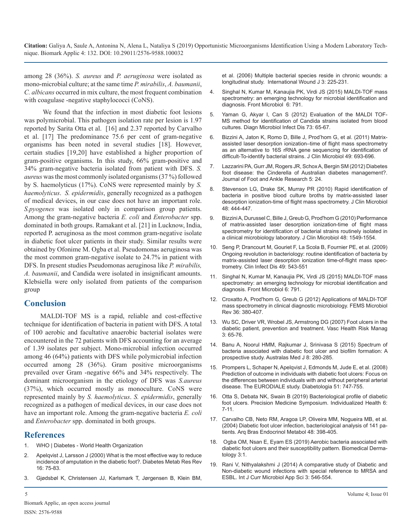among 28 (36%). *S. aureus* and *P. aeruginosa* were isolated as mono-microbial culture; at the same time *P. mirabilis*, *A. baumanii*, *C. albicans* occurred in mix culture, the most frequent combination with coagulase -negative staphylococci (CoNS).

 We found that the infection in most diabetic foot lesions [was polymicrobial. This pathogen isolation rate per lesion is 1.97](https://www.ncbi.nlm.nih.gov/pubmed/22578939)  reported by Sarita Otta et al. [16] and 2.37 reported by Carvalho et al. [17] The predominance 75.6 per cent of gram-negative [organisms has been noted in several studies \[18\]. However,](https://www.ncbi.nlm.nih.gov/pubmed/21106794)  certain studies [19,20] have established a higher proportion of gram-positive organisms. In this study, 66% gram-positive and 34% gram-negative bacteria isolated from patient with DFS. *S. aureus* was the most commonly isolated organisms (37 %) followed by S. haemolyticus (17%). CoNS were represented mainly by *S. haemolyticus*. *S. epidermidis*, generally recognized as a pathogen of medical devices, in our case does not have an important role. *S.pyogenes* was isolated only in comparison group patients. Among the gram-negative bacteria *E. coli* and *Enterobacter* spp. [dominated in both groups. Ramakant et al. \[21\] in Lucknow, India,](https://www.ncbi.nlm.nih.gov/pubmed/20220166)  reported P. aeruginosa as the most common gram-negative isolate in diabetic foot ulcer patients in their study. Similar results were obtained by Ofonime M. Ogba et al. Pseudomonas aeruginosa was the most common gram-negative isolate to 24.7% in patient with DFS. In present studies Pseudomonas aeruginosa like *P. mirabilis, A. baumanii*, and Candida were isolated in insignificant amounts. [Klebsiella were only isolated from patients of the comparison](https://www.ncbi.nlm.nih.gov/pubmed/26300860)  group

## **Conclusion**

MALDI-TOF MS is a rapid, reliable and cost-effective technique for identification of bacteria in patient with DFS. A total of 100 aerobic and facultative anaerobic bacterial isolates were encountered in the 72 patients with DFS accounting for an average [of 1.39 isolates per subject. Mono-microbial infection occurred](https://www.ncbi.nlm.nih.gov/pubmed/26464584)  among 46 (64%) patients with DFS while polymicrobial infection occurred among 28 (36%). Gram positive microorganisms [prevailed over Gram -negative 66% and 34% respectively. The](https://www.ncbi.nlm.nih.gov/pmc/articles/PMC2292424/)  dominant microorganism in the etiology of DFS was *S.aureus* (37%), which occurred mostly as monoculture. CoNS were represented mainly by *S. haemolyticus*. *S. epidermidis*, generally recognized as a pathogen of medical devices, in our case does not have an important role. Among the gram-negative bacteria *E. coli* and *Enterobacter* spp. dominated in both groups.

# **References**

- 1. [WHO | Diabetes World Health Organization](https://www.who.int/news-room/fact-sheets/detail/diabetes)
- Apelqvist J, Larsson J (2000) What is the most effective way to reduce [incidence of amputation in the diabetic foot?. Diabetes Metab Res Rev](https://www.ncbi.nlm.nih.gov/pubmed/11054894)  [16: 75-83.](https://www.ncbi.nlm.nih.gov/pubmed/11054894)
- 3. [Gjødsbøl K, Christensen JJ, Karlsmark T, Jørgensen B, Klein BM,](https://www.ncbi.nlm.nih.gov/pubmed/16984578)

[et al. \(2006\) Multiple bacterial species reside in chronic wounds: a](https://www.ncbi.nlm.nih.gov/pubmed/16984578)  [longitudinal study. International Wound J 3: 225-231](https://www.ncbi.nlm.nih.gov/pubmed/16984578).

- 4. [Singhal N, Kumar M, Kanaujia PK, Virdi JS \(2015\) MALDI-TOF mass](https://www.ncbi.nlm.nih.gov/pubmed/26300860)  [spectrometry: an emerging technology for microbial identification and](https://www.ncbi.nlm.nih.gov/pubmed/26300860)  [diagnosis. Front Microbiol 6: 791.](https://www.ncbi.nlm.nih.gov/pubmed/26300860)
- 5. [Yaman G, Akyar I, Can S \(2012\) Evaluation of the MALDI TOF-](https://www.ncbi.nlm.nih.gov/pubmed/22578939)MS method for identification of Candida strains isolated from blood cultures. Diagn [Microbiol Infect Dis 73: 65-67.](https://www.ncbi.nlm.nih.gov/pubmed/22578939)
- [Bizzini A, Jaton K, Romo D, Bille J, Prod'hom G, et al. \(2011\) Matrix](https://www.ncbi.nlm.nih.gov/pubmed/21106794)assisted laser desorption ionization–time of flight mass spectrometry [as an alternative to 16S rRNA gene sequencing for identification of](https://www.ncbi.nlm.nih.gov/pubmed/21106794) [difficult-To-identify bacterial strains. J Clin Microbiol 49: 693-696](https://www.ncbi.nlm.nih.gov/pubmed/21106794).
- 7. [Lazzarini PA, Gurr JM, Rogers JR, Schox A, Bergin SM \(2012\) Diabetes](https://jfootankleres.biomedcentral.com/articles/10.1186/1757-1146-5-24) [foot disease: the Cinderella of Australian diabetes management?.](https://jfootankleres.biomedcentral.com/articles/10.1186/1757-1146-5-24)  [Journal of Foot and Ankle Research 5: 24.](https://jfootankleres.biomedcentral.com/articles/10.1186/1757-1146-5-24)
- 8. [Stevenson LG, Drake SK, Murray PR \(2010\) Rapid identification of](https://www.ncbi.nlm.nih.gov/pubmed/19955282)  [bacteria in positive blood culture broths by matrix-assisted laser](https://www.ncbi.nlm.nih.gov/pubmed/19955282)  [desorption ionization-time of flight mass spectrometry. J Clin Microbiol](https://www.ncbi.nlm.nih.gov/pubmed/19955282)  [48: 444-447.](https://www.ncbi.nlm.nih.gov/pubmed/19955282)
- 9. [Bizzini A, Durussel C, Bille J, Greub G, Prod'hom G \(2010\) Performance](https://www.ncbi.nlm.nih.gov/pubmed/20220166) of matrix-assisted laser desorption ionization-time of flight mass [spectrometry for identification of bacterial strains routinely isolated in](https://www.ncbi.nlm.nih.gov/pubmed/20220166)  [a clinical microbiology laboratory. J Clin](https://www.ncbi.nlm.nih.gov/pubmed/20220166) Microbiol 48: 1549-1554.
- 10. [Seng P, Drancourt M, Gouriet F, La Scola B, Fournier PE, et al. \(2009\)](https://www.ncbi.nlm.nih.gov/pubmed/19583519) [Ongoing revolution in bacteriology: routine identification of bacteria by](https://www.ncbi.nlm.nih.gov/pubmed/19583519) [matrix-assisted laser desorption ionization time-of-flight mass spec](https://www.ncbi.nlm.nih.gov/pubmed/19583519)[trometry. Clin Infect Dis 49: 543-551](https://www.ncbi.nlm.nih.gov/pubmed/19583519)
- 11. [Singhal N, Kumar M, Kanaujia PK, Virdi JS \(2015\) MALDI-TOF mass](https://www.ncbi.nlm.nih.gov/pubmed/26300860)  spectrometry: an emerging technology for microbial identification and [diagnosis. Front Microbiol 6: 791.](https://www.ncbi.nlm.nih.gov/pubmed/26300860)
- 12. [Croxatto A, Prod'hom G, Greub G \(2012\) Applications of MALDI-TOF](https://www.ncbi.nlm.nih.gov/pubmed/22092265)  [mass spectrometry in clinical diagnostic microbiology. FEMS Microbiol](https://www.ncbi.nlm.nih.gov/pubmed/22092265)  Rev [36: 380-407.](https://www.ncbi.nlm.nih.gov/pubmed/22092265)
- 13. [Wu SC, Driver VR, Wrobel JS, Armstrong DG \(2007\) Foot ulcers in the](https://www.ncbi.nlm.nih.gov/pmc/articles/PMC1994045/)  [diabetic patient, prevention and treatment. Vasc Health Risk Manag](https://www.ncbi.nlm.nih.gov/pmc/articles/PMC1994045/)  [3: 65-76.](https://www.ncbi.nlm.nih.gov/pmc/articles/PMC1994045/)
- 14. [Banu A, Noorul HMM, Rajkumar J, Srinivasa S \(2015\) Spectrum of](https://www.ncbi.nlm.nih.gov/pubmed/26464584)  bacteria associated with diabetic foot ulcer and biofilm formation: A [prospective study. Australas Med J 8: 280-285.](https://www.ncbi.nlm.nih.gov/pubmed/26464584)
- 15. [Prompers L, Schaper N, Apelqvist J, Edmonds M, Jude E, et al. \(2008\)](https://www.ncbi.nlm.nih.gov/pmc/articles/PMC2292424/)  Prediction of outcome in individuals with diabetic foot ulcers: Focus on [the differences between individuals with and without peripheral arterial](https://www.ncbi.nlm.nih.gov/pmc/articles/PMC2292424/)  [disease. The EURODIALE study. Diabetologia 51: 747-755.](https://www.ncbi.nlm.nih.gov/pmc/articles/PMC2292424/)
- 16. [Otta S, Debata NK, Swain B \(2019\) Bacteriological](http://www.cjhr.org/article.asp?issn=2348-3334;year=2019;volume=6;issue=1;spage=7;epage=11;aulast=Otta) profile of diabetic [foot ulcers. Precision Medicine Symposium. Individualized Health 6:](http://www.cjhr.org/article.asp?issn=2348-3334;year=2019;volume=6;issue=1;spage=7;epage=11;aulast=Otta)  [7-11](http://www.cjhr.org/article.asp?issn=2348-3334;year=2019;volume=6;issue=1;spage=7;epage=11;aulast=Otta).
- 17. [Carvalho CB, Neto RM, Aragoa LP, Oliveira MM, Nogueira MB, et al.](https://www.ncbi.nlm.nih.gov/pubmed/15640905)  [\(2004\) Diabetic foot ulcer infection, bacteriological analysis of 141 pa](https://www.ncbi.nlm.nih.gov/pubmed/15640905)[tients. Arq Bras Endocrinol Metabol 48: 398-405.](https://www.ncbi.nlm.nih.gov/pubmed/15640905)
- 18. [Ogba OM, Nsan E, Eyam ES \(2019\) Aerobic bacteria associated with](https://biomeddermatol.biomedcentral.com/articles/10.1186/s41702-019-0039-x)  [diabetic foot ulcers and their susceptibility pattern. Biomedical Derma](https://biomeddermatol.biomedcentral.com/articles/10.1186/s41702-019-0039-x)[tology 3:1.](https://biomeddermatol.biomedcentral.com/articles/10.1186/s41702-019-0039-x)
- 19. [Rani V, Nithyalakshmi J \(2014\) A comparative study of Diabetic and](https://www.ijcmas.com/vol-3-12/R. Vidhya Rani and J. Nithyalakshmi.pdf)  [Non-diabetic wound infections with special reference to MRSA and](https://www.ijcmas.com/vol-3-12/R. Vidhya Rani and J. Nithyalakshmi.pdf)  [ESBL. Int J Curr Microbiol App Sci 3: 546-554.](https://www.ijcmas.com/vol-3-12/R. Vidhya Rani and J. Nithyalakshmi.pdf)